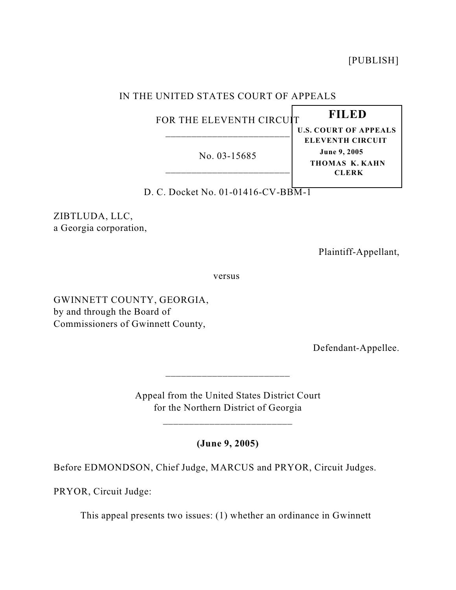[PUBLISH]

# IN THE UNITED STATES COURT OF APPEALS

FOR THE ELEVENTH CIRCUIT \_\_\_\_\_\_\_\_\_\_\_\_\_\_\_\_\_\_\_\_\_\_\_\_

No. 03-15685 \_\_\_\_\_\_\_\_\_\_\_\_\_\_\_\_\_\_\_\_\_\_\_\_ **U.S. COURT OF APPEALS ELEVENTH CIRCUIT June 9, 2005 THOMAS K. KAHN CLERK**

 **FILED** 

D. C. Docket No. 01-01416-CV-BBM-1

ZIBTLUDA, LLC, a Georgia corporation,

Plaintiff-Appellant,

versus

GWINNETT COUNTY, GEORGIA, by and through the Board of Commissioners of Gwinnett County,

Defendant-Appellee.

Appeal from the United States District Court for the Northern District of Georgia

\_\_\_\_\_\_\_\_\_\_\_\_\_\_\_\_\_\_\_\_\_\_\_\_\_

 $\frac{1}{2}$  ,  $\frac{1}{2}$  ,  $\frac{1}{2}$  ,  $\frac{1}{2}$  ,  $\frac{1}{2}$  ,  $\frac{1}{2}$  ,  $\frac{1}{2}$  ,  $\frac{1}{2}$  ,  $\frac{1}{2}$  ,  $\frac{1}{2}$  ,  $\frac{1}{2}$  ,  $\frac{1}{2}$  ,  $\frac{1}{2}$  ,  $\frac{1}{2}$  ,  $\frac{1}{2}$  ,  $\frac{1}{2}$  ,  $\frac{1}{2}$  ,  $\frac{1}{2}$  ,  $\frac{1$ 

**(June 9, 2005)**

Before EDMONDSON, Chief Judge, MARCUS and PRYOR, Circuit Judges.

PRYOR, Circuit Judge:

This appeal presents two issues: (1) whether an ordinance in Gwinnett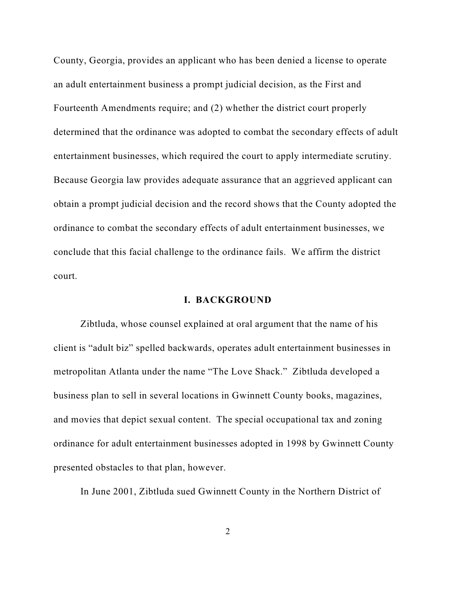County, Georgia, provides an applicant who has been denied a license to operate an adult entertainment business a prompt judicial decision, as the First and Fourteenth Amendments require; and (2) whether the district court properly determined that the ordinance was adopted to combat the secondary effects of adult entertainment businesses, which required the court to apply intermediate scrutiny. Because Georgia law provides adequate assurance that an aggrieved applicant can obtain a prompt judicial decision and the record shows that the County adopted the ordinance to combat the secondary effects of adult entertainment businesses, we conclude that this facial challenge to the ordinance fails. We affirm the district court.

## **I. BACKGROUND**

Zibtluda, whose counsel explained at oral argument that the name of his client is "adult biz" spelled backwards, operates adult entertainment businesses in metropolitan Atlanta under the name "The Love Shack." Zibtluda developed a business plan to sell in several locations in Gwinnett County books, magazines, and movies that depict sexual content. The special occupational tax and zoning ordinance for adult entertainment businesses adopted in 1998 by Gwinnett County presented obstacles to that plan, however.

In June 2001, Zibtluda sued Gwinnett County in the Northern District of

2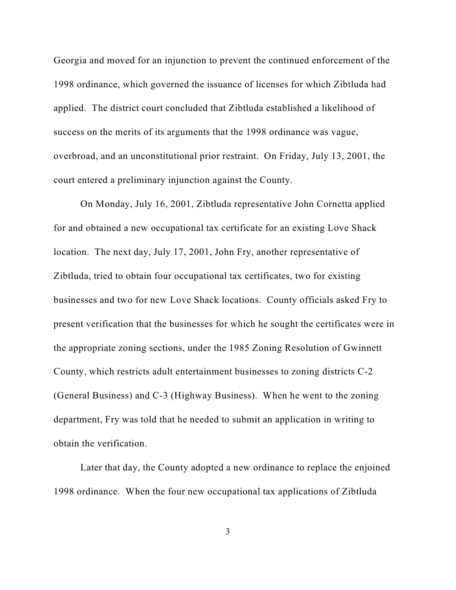Georgia and moved for an injunction to prevent the continued enforcement of the 1998 ordinance, which governed the issuance of licenses for which Zibtluda had applied. The district court concluded that Zibtluda established a likelihood of success on the merits of its arguments that the 1998 ordinance was vague, overbroad, and an unconstitutional prior restraint. On Friday, July 13, 2001, the court entered a preliminary injunction against the County.

On Monday, July 16, 2001, Zibtluda representative John Cornetta applied for and obtained a new occupational tax certificate for an existing Love Shack location. The next day, July 17, 2001, John Fry, another representative of Zibtluda, tried to obtain four occupational tax certificates, two for existing businesses and two for new Love Shack locations. County officials asked Fry to present verification that the businesses for which he sought the certificates were in the appropriate zoning sections, under the 1985 Zoning Resolution of Gwinnett County, which restricts adult entertainment businesses to zoning districts C-2 (General Business) and C-3 (Highway Business). When he went to the zoning department, Fry was told that he needed to submit an application in writing to obtain the verification.

Later that day, the County adopted a new ordinance to replace the enjoined 1998 ordinance. When the four new occupational tax applications of Zibtluda

3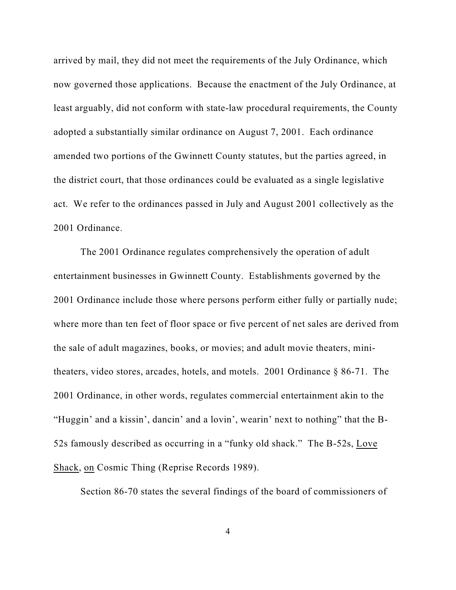arrived by mail, they did not meet the requirements of the July Ordinance, which now governed those applications. Because the enactment of the July Ordinance, at least arguably, did not conform with state-law procedural requirements, the County adopted a substantially similar ordinance on August 7, 2001. Each ordinance amended two portions of the Gwinnett County statutes, but the parties agreed, in the district court, that those ordinances could be evaluated as a single legislative act. We refer to the ordinances passed in July and August 2001 collectively as the 2001 Ordinance.

The 2001 Ordinance regulates comprehensively the operation of adult entertainment businesses in Gwinnett County. Establishments governed by the 2001 Ordinance include those where persons perform either fully or partially nude; where more than ten feet of floor space or five percent of net sales are derived from the sale of adult magazines, books, or movies; and adult movie theaters, minitheaters, video stores, arcades, hotels, and motels. 2001 Ordinance § 86-71. The 2001 Ordinance, in other words, regulates commercial entertainment akin to the "Huggin' and a kissin', dancin' and a lovin', wearin' next to nothing" that the B-52s famously described as occurring in a "funky old shack." The B-52s, Love Shack, on Cosmic Thing (Reprise Records 1989).

Section 86-70 states the several findings of the board of commissioners of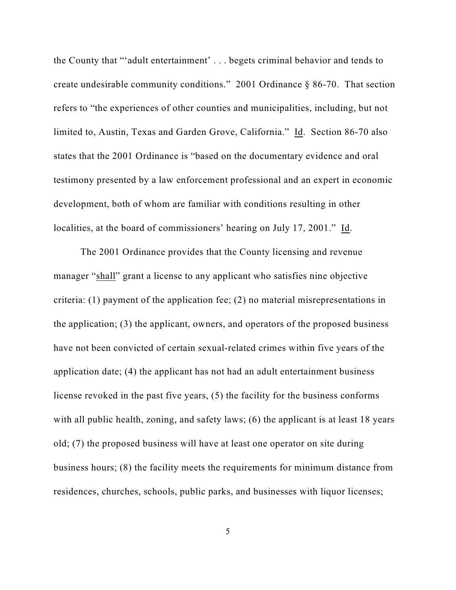the County that "'adult entertainment' . . . begets criminal behavior and tends to create undesirable community conditions." 2001 Ordinance § 86-70. That section refers to "the experiences of other counties and municipalities, including, but not limited to, Austin, Texas and Garden Grove, California." Id. Section 86-70 also states that the 2001 Ordinance is "based on the documentary evidence and oral testimony presented by a law enforcement professional and an expert in economic development, both of whom are familiar with conditions resulting in other localities, at the board of commissioners' hearing on July 17, 2001." Id.

The 2001 Ordinance provides that the County licensing and revenue manager "shall" grant a license to any applicant who satisfies nine objective criteria: (1) payment of the application fee; (2) no material misrepresentations in the application; (3) the applicant, owners, and operators of the proposed business have not been convicted of certain sexual-related crimes within five years of the application date; (4) the applicant has not had an adult entertainment business license revoked in the past five years, (5) the facility for the business conforms with all public health, zoning, and safety laws; (6) the applicant is at least 18 years old; (7) the proposed business will have at least one operator on site during business hours; (8) the facility meets the requirements for minimum distance from residences, churches, schools, public parks, and businesses with liquor licenses;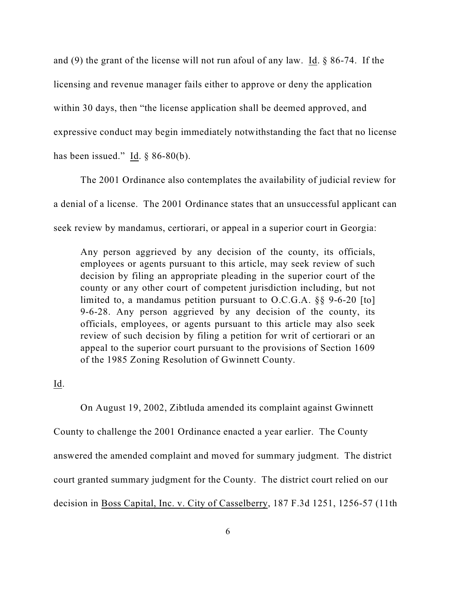and (9) the grant of the license will not run afoul of any law. Id. § 86-74. If the licensing and revenue manager fails either to approve or deny the application within 30 days, then "the license application shall be deemed approved, and expressive conduct may begin immediately notwithstanding the fact that no license has been issued." Id.  $\S$  86-80(b).

The 2001 Ordinance also contemplates the availability of judicial review for a denial of a license. The 2001 Ordinance states that an unsuccessful applicant can seek review by mandamus, certiorari, or appeal in a superior court in Georgia:

Any person aggrieved by any decision of the county, its officials, employees or agents pursuant to this article, may seek review of such decision by filing an appropriate pleading in the superior court of the county or any other court of competent jurisdiction including, but not limited to, a mandamus petition pursuant to O.C.G.A. §§ 9-6-20 [to] 9-6-28. Any person aggrieved by any decision of the county, its officials, employees, or agents pursuant to this article may also seek review of such decision by filing a petition for writ of certiorari or an appeal to the superior court pursuant to the provisions of Section 1609 of the 1985 Zoning Resolution of Gwinnett County.

## Id.

On August 19, 2002, Zibtluda amended its complaint against Gwinnett County to challenge the 2001 Ordinance enacted a year earlier. The County answered the amended complaint and moved for summary judgment. The district court granted summary judgment for the County. The district court relied on our decision in Boss Capital, Inc. v. City of Casselberry, 187 F.3d 1251, 1256-57 (11th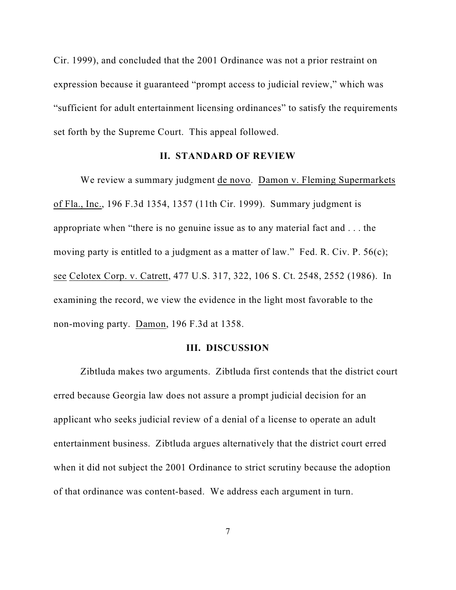Cir. 1999), and concluded that the 2001 Ordinance was not a prior restraint on expression because it guaranteed "prompt access to judicial review," which was "sufficient for adult entertainment licensing ordinances" to satisfy the requirements set forth by the Supreme Court. This appeal followed.

#### **II. STANDARD OF REVIEW**

We review a summary judgment de novo. Damon v. Fleming Supermarkets of Fla., Inc., 196 F.3d 1354, 1357 (11th Cir. 1999). Summary judgment is appropriate when "there is no genuine issue as to any material fact and . . . the moving party is entitled to a judgment as a matter of law." Fed. R. Civ. P. 56(c); see Celotex Corp. v. Catrett, 477 U.S. 317, 322, 106 S. Ct. 2548, 2552 (1986). In examining the record, we view the evidence in the light most favorable to the non-moving party. Damon, 196 F.3d at 1358.

#### **III. DISCUSSION**

Zibtluda makes two arguments. Zibtluda first contends that the district court erred because Georgia law does not assure a prompt judicial decision for an applicant who seeks judicial review of a denial of a license to operate an adult entertainment business. Zibtluda argues alternatively that the district court erred when it did not subject the 2001 Ordinance to strict scrutiny because the adoption of that ordinance was content-based. We address each argument in turn.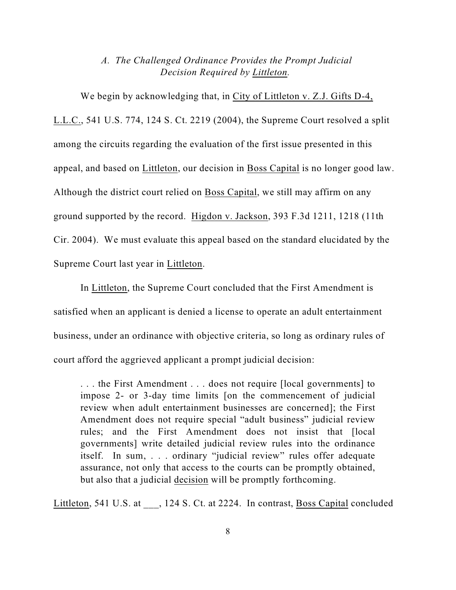# *A. The Challenged Ordinance Provides the Prompt Judicial Decision Required by Littleton.*

We begin by acknowledging that, in City of Littleton v. Z.J. Gifts D-4, L.L.C., 541 U.S. 774, 124 S. Ct. 2219 (2004), the Supreme Court resolved a split among the circuits regarding the evaluation of the first issue presented in this appeal, and based on Littleton, our decision in Boss Capital is no longer good law. Although the district court relied on Boss Capital, we still may affirm on any ground supported by the record. Higdon v. Jackson, 393 F.3d 1211, 1218 (11th Cir. 2004). We must evaluate this appeal based on the standard elucidated by the Supreme Court last year in Littleton.

In Littleton, the Supreme Court concluded that the First Amendment is satisfied when an applicant is denied a license to operate an adult entertainment business, under an ordinance with objective criteria, so long as ordinary rules of court afford the aggrieved applicant a prompt judicial decision:

. . . the First Amendment . . . does not require [local governments] to impose 2- or 3-day time limits [on the commencement of judicial review when adult entertainment businesses are concerned]; the First Amendment does not require special "adult business" judicial review rules; and the First Amendment does not insist that [local governments] write detailed judicial review rules into the ordinance itself. In sum, . . . ordinary "judicial review" rules offer adequate assurance, not only that access to the courts can be promptly obtained, but also that a judicial decision will be promptly forthcoming.

Littleton, 541 U.S. at , 124 S. Ct. at 2224. In contrast, Boss Capital concluded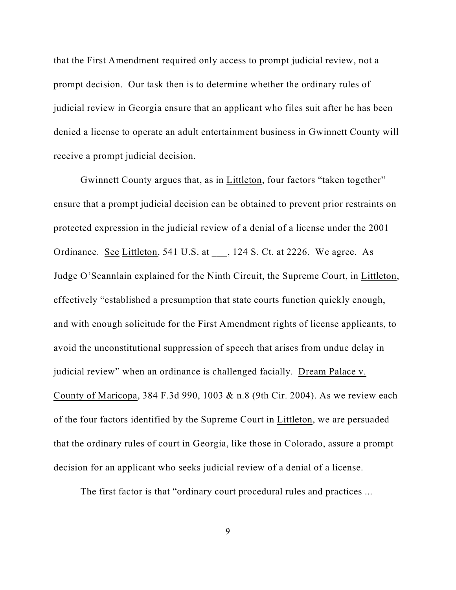that the First Amendment required only access to prompt judicial review, not a prompt decision. Our task then is to determine whether the ordinary rules of judicial review in Georgia ensure that an applicant who files suit after he has been denied a license to operate an adult entertainment business in Gwinnett County will receive a prompt judicial decision.

Gwinnett County argues that, as in Littleton, four factors "taken together" ensure that a prompt judicial decision can be obtained to prevent prior restraints on protected expression in the judicial review of a denial of a license under the 2001 Ordinance. See Littleton, 541 U.S. at , 124 S. Ct. at 2226. We agree. As Judge O'Scannlain explained for the Ninth Circuit, the Supreme Court, in Littleton, effectively "established a presumption that state courts function quickly enough, and with enough solicitude for the First Amendment rights of license applicants, to avoid the unconstitutional suppression of speech that arises from undue delay in judicial review" when an ordinance is challenged facially. Dream Palace v. County of Maricopa, 384 F.3d 990, 1003 & n.8 (9th Cir. 2004). As we review each of the four factors identified by the Supreme Court in Littleton, we are persuaded that the ordinary rules of court in Georgia, like those in Colorado, assure a prompt decision for an applicant who seeks judicial review of a denial of a license.

The first factor is that "ordinary court procedural rules and practices ...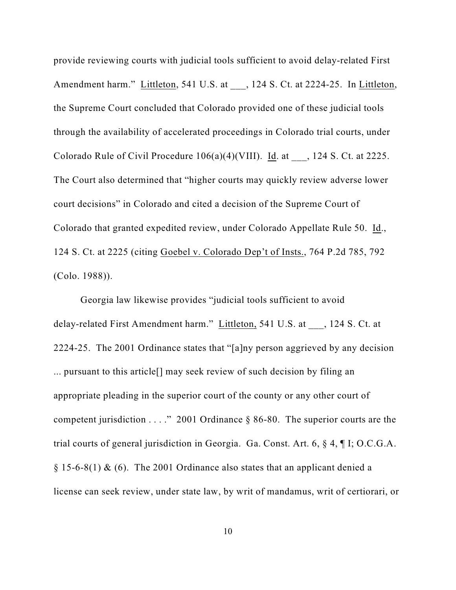provide reviewing courts with judicial tools sufficient to avoid delay-related First Amendment harm." Littleton, 541 U.S. at \_\_\_, 124 S. Ct. at 2224-25. In Littleton, the Supreme Court concluded that Colorado provided one of these judicial tools through the availability of accelerated proceedings in Colorado trial courts, under Colorado Rule of Civil Procedure  $106(a)(4)(VIII)$ . Id. at  $\qquad$ , 124 S. Ct. at 2225. The Court also determined that "higher courts may quickly review adverse lower court decisions" in Colorado and cited a decision of the Supreme Court of Colorado that granted expedited review, under Colorado Appellate Rule 50. Id., 124 S. Ct. at 2225 (citing Goebel v. Colorado Dep't of Insts., 764 P.2d 785, 792 (Colo. 1988)).

Georgia law likewise provides "judicial tools sufficient to avoid delay-related First Amendment harm." Littleton, 541 U.S. at \_\_\_, 124 S. Ct. at 2224-25. The 2001 Ordinance states that "[a]ny person aggrieved by any decision ... pursuant to this article[] may seek review of such decision by filing an appropriate pleading in the superior court of the county or any other court of competent jurisdiction . . . ." 2001 Ordinance § 86-80. The superior courts are the trial courts of general jurisdiction in Georgia. Ga. Const. Art. 6, § 4, ¶ I; O.C.G.A.  $\S 15-6-8(1)$  & (6). The 2001 Ordinance also states that an applicant denied a license can seek review, under state law, by writ of mandamus, writ of certiorari, or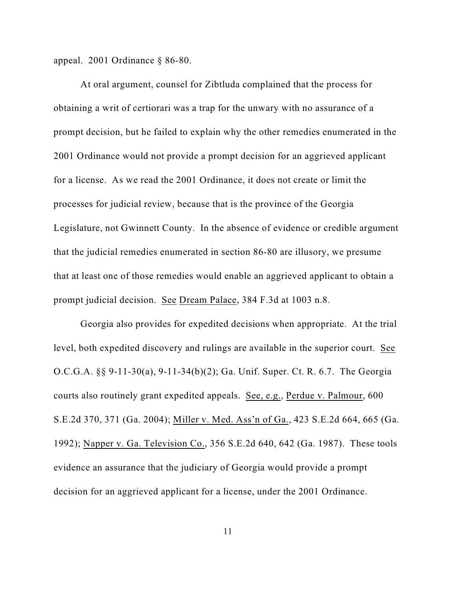appeal. 2001 Ordinance § 86-80.

At oral argument, counsel for Zibtluda complained that the process for obtaining a writ of certiorari was a trap for the unwary with no assurance of a prompt decision, but he failed to explain why the other remedies enumerated in the 2001 Ordinance would not provide a prompt decision for an aggrieved applicant for a license. As we read the 2001 Ordinance, it does not create or limit the processes for judicial review, because that is the province of the Georgia Legislature, not Gwinnett County. In the absence of evidence or credible argument that the judicial remedies enumerated in section 86-80 are illusory, we presume that at least one of those remedies would enable an aggrieved applicant to obtain a prompt judicial decision. See Dream Palace, 384 F.3d at 1003 n.8.

Georgia also provides for expedited decisions when appropriate. At the trial level, both expedited discovery and rulings are available in the superior court. See O.C.G.A. §§ 9-11-30(a), 9-11-34(b)(2); Ga. Unif. Super. Ct. R. 6.7. The Georgia courts also routinely grant expedited appeals. See, e.g., Perdue v. Palmour, 600 S.E.2d 370, 371 (Ga. 2004); Miller v. Med. Ass'n of Ga., 423 S.E.2d 664, 665 (Ga. 1992); Napper v. Ga. Television Co., 356 S.E.2d 640, 642 (Ga. 1987). These tools evidence an assurance that the judiciary of Georgia would provide a prompt decision for an aggrieved applicant for a license, under the 2001 Ordinance.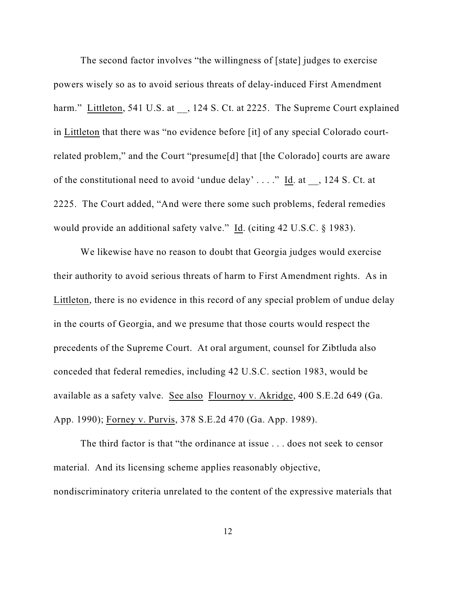The second factor involves "the willingness of [state] judges to exercise powers wisely so as to avoid serious threats of delay-induced First Amendment harm." Littleton, 541 U.S. at  $\,$ , 124 S. Ct. at 2225. The Supreme Court explained in Littleton that there was "no evidence before [it] of any special Colorado courtrelated problem," and the Court "presume[d] that [the Colorado] courts are aware of the constitutional need to avoid 'undue delay' . . . ." Id. at \_\_, 124 S. Ct. at 2225. The Court added, "And were there some such problems, federal remedies would provide an additional safety valve." Id. (citing 42 U.S.C. § 1983).

We likewise have no reason to doubt that Georgia judges would exercise their authority to avoid serious threats of harm to First Amendment rights. As in Littleton, there is no evidence in this record of any special problem of undue delay in the courts of Georgia, and we presume that those courts would respect the precedents of the Supreme Court. At oral argument, counsel for Zibtluda also conceded that federal remedies, including 42 U.S.C. section 1983, would be available as a safety valve. See also Flournoy v. Akridge, 400 S.E.2d 649 (Ga. App. 1990); Forney v. Purvis, 378 S.E.2d 470 (Ga. App. 1989).

The third factor is that "the ordinance at issue . . . does not seek to censor material. And its licensing scheme applies reasonably objective, nondiscriminatory criteria unrelated to the content of the expressive materials that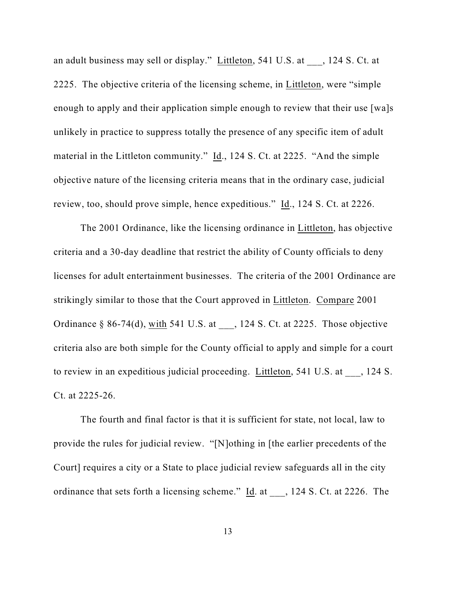an adult business may sell or display." Littleton, 541 U.S. at , 124 S. Ct. at 2225. The objective criteria of the licensing scheme, in Littleton, were "simple enough to apply and their application simple enough to review that their use [wa]s unlikely in practice to suppress totally the presence of any specific item of adult material in the Littleton community." Id., 124 S. Ct. at 2225. "And the simple objective nature of the licensing criteria means that in the ordinary case, judicial review, too, should prove simple, hence expeditious." Id., 124 S. Ct. at 2226.

The 2001 Ordinance, like the licensing ordinance in Littleton, has objective criteria and a 30-day deadline that restrict the ability of County officials to deny licenses for adult entertainment businesses. The criteria of the 2001 Ordinance are strikingly similar to those that the Court approved in Littleton. Compare 2001 Ordinance § 86-74(d), with 541 U.S. at  $\qquad$ , 124 S. Ct. at 2225. Those objective criteria also are both simple for the County official to apply and simple for a court to review in an expeditious judicial proceeding. Littleton, 541 U.S. at  $\qquad$ , 124 S. Ct. at 2225-26.

The fourth and final factor is that it is sufficient for state, not local, law to provide the rules for judicial review. "[N]othing in [the earlier precedents of the Court] requires a city or a State to place judicial review safeguards all in the city ordinance that sets forth a licensing scheme."  $\underline{Id}$ . at  $\qquad$ , 124 S. Ct. at 2226. The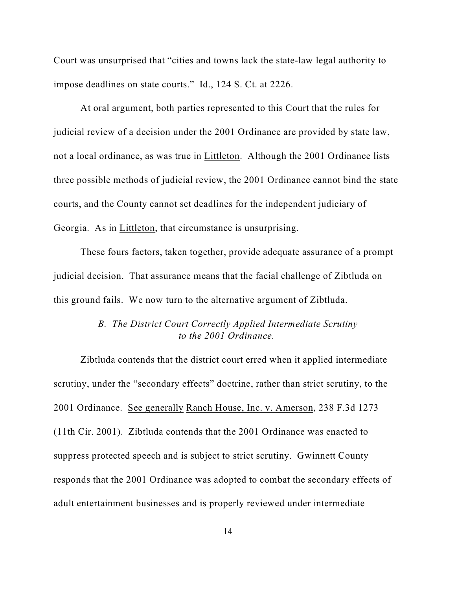Court was unsurprised that "cities and towns lack the state-law legal authority to impose deadlines on state courts." Id., 124 S. Ct. at 2226.

At oral argument, both parties represented to this Court that the rules for judicial review of a decision under the 2001 Ordinance are provided by state law, not a local ordinance, as was true in Littleton. Although the 2001 Ordinance lists three possible methods of judicial review, the 2001 Ordinance cannot bind the state courts, and the County cannot set deadlines for the independent judiciary of Georgia. As in Littleton, that circumstance is unsurprising.

These fours factors, taken together, provide adequate assurance of a prompt judicial decision. That assurance means that the facial challenge of Zibtluda on this ground fails. We now turn to the alternative argument of Zibtluda.

# *B. The District Court Correctly Applied Intermediate Scrutiny to the 2001 Ordinance.*

Zibtluda contends that the district court erred when it applied intermediate scrutiny, under the "secondary effects" doctrine, rather than strict scrutiny, to the 2001 Ordinance. See generally Ranch House, Inc. v. Amerson, 238 F.3d 1273 (11th Cir. 2001). Zibtluda contends that the 2001 Ordinance was enacted to suppress protected speech and is subject to strict scrutiny. Gwinnett County responds that the 2001 Ordinance was adopted to combat the secondary effects of adult entertainment businesses and is properly reviewed under intermediate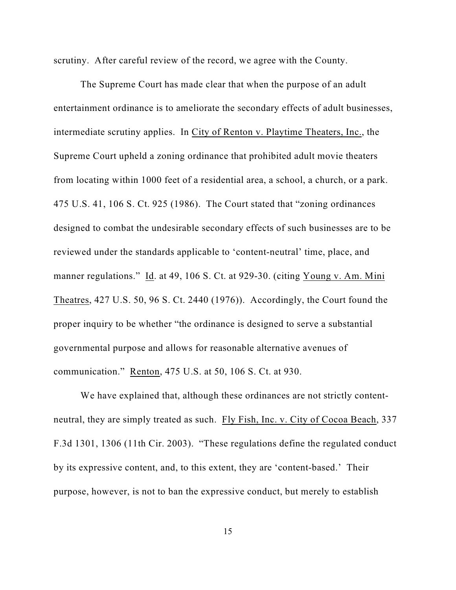scrutiny. After careful review of the record, we agree with the County.

The Supreme Court has made clear that when the purpose of an adult entertainment ordinance is to ameliorate the secondary effects of adult businesses, intermediate scrutiny applies. In City of Renton v. Playtime Theaters, Inc., the Supreme Court upheld a zoning ordinance that prohibited adult movie theaters from locating within 1000 feet of a residential area, a school, a church, or a park. 475 U.S. 41, 106 S. Ct. 925 (1986). The Court stated that "zoning ordinances designed to combat the undesirable secondary effects of such businesses are to be reviewed under the standards applicable to 'content-neutral' time, place, and manner regulations." Id. at 49, 106 S. Ct. at 929-30. (citing Young v. Am. Mini Theatres, 427 U.S. 50, 96 S. Ct. 2440 (1976)). Accordingly, the Court found the proper inquiry to be whether "the ordinance is designed to serve a substantial governmental purpose and allows for reasonable alternative avenues of communication." Renton, 475 U.S. at 50, 106 S. Ct. at 930.

We have explained that, although these ordinances are not strictly contentneutral, they are simply treated as such. Fly Fish, Inc. v. City of Cocoa Beach, 337 F.3d 1301, 1306 (11th Cir. 2003). "These regulations define the regulated conduct by its expressive content, and, to this extent, they are 'content-based.' Their purpose, however, is not to ban the expressive conduct, but merely to establish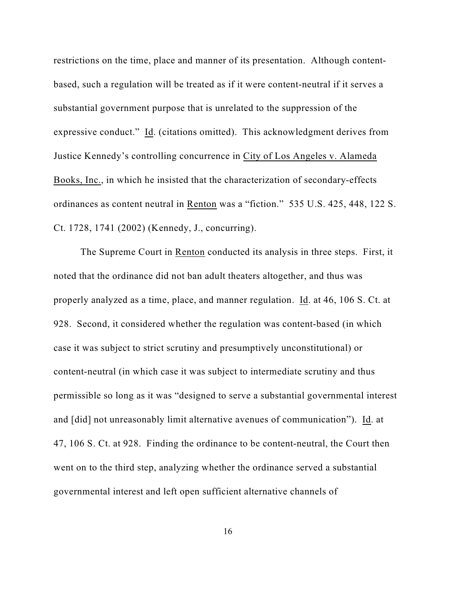restrictions on the time, place and manner of its presentation. Although contentbased, such a regulation will be treated as if it were content-neutral if it serves a substantial government purpose that is unrelated to the suppression of the expressive conduct." Id. (citations omitted). This acknowledgment derives from Justice Kennedy's controlling concurrence in City of Los Angeles v. Alameda Books, Inc., in which he insisted that the characterization of secondary-effects ordinances as content neutral in Renton was a "fiction." 535 U.S. 425, 448, 122 S. Ct. 1728, 1741 (2002) (Kennedy, J., concurring).

The Supreme Court in Renton conducted its analysis in three steps. First, it noted that the ordinance did not ban adult theaters altogether, and thus was properly analyzed as a time, place, and manner regulation. Id. at 46, 106 S. Ct. at 928. Second, it considered whether the regulation was content-based (in which case it was subject to strict scrutiny and presumptively unconstitutional) or content-neutral (in which case it was subject to intermediate scrutiny and thus permissible so long as it was "designed to serve a substantial governmental interest and [did] not unreasonably limit alternative avenues of communication"). Id. at 47, 106 S. Ct. at 928. Finding the ordinance to be content-neutral, the Court then went on to the third step, analyzing whether the ordinance served a substantial governmental interest and left open sufficient alternative channels of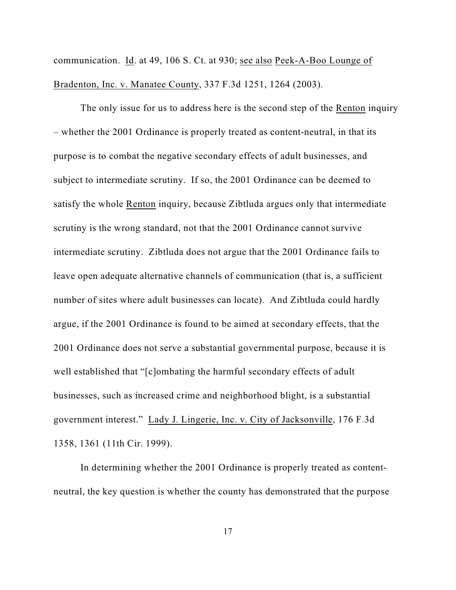communication. Id. at 49, 106 S. Ct. at 930; see also Peek-A-Boo Lounge of Bradenton, Inc. v. Manatee County, 337 F.3d 1251, 1264 (2003).

The only issue for us to address here is the second step of the Renton inquiry – whether the 2001 Ordinance is properly treated as content-neutral, in that its purpose is to combat the negative secondary effects of adult businesses, and subject to intermediate scrutiny. If so, the 2001 Ordinance can be deemed to satisfy the whole Renton inquiry, because Zibtluda argues only that intermediate scrutiny is the wrong standard, not that the 2001 Ordinance cannot survive intermediate scrutiny. Zibtluda does not argue that the 2001 Ordinance fails to leave open adequate alternative channels of communication (that is, a sufficient number of sites where adult businesses can locate). And Zibtluda could hardly argue, if the 2001 Ordinance is found to be aimed at secondary effects, that the 2001 Ordinance does not serve a substantial governmental purpose, because it is well established that "[c]ombating the harmful secondary effects of adult businesses, such as increased crime and neighborhood blight, is a substantial government interest." Lady J. Lingerie, Inc. v. City of Jacksonville, 176 F.3d 1358, 1361 (11th Cir. 1999).

In determining whether the 2001 Ordinance is properly treated as contentneutral, the key question is whether the county has demonstrated that the purpose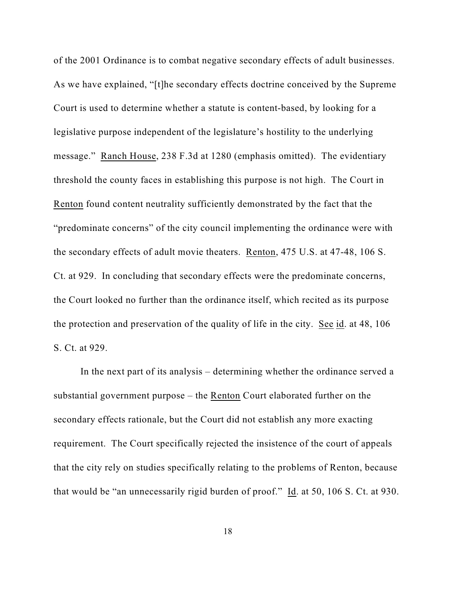of the 2001 Ordinance is to combat negative secondary effects of adult businesses. As we have explained, "[t]he secondary effects doctrine conceived by the Supreme Court is used to determine whether a statute is content-based, by looking for a legislative purpose independent of the legislature's hostility to the underlying message." Ranch House, 238 F.3d at 1280 (emphasis omitted). The evidentiary threshold the county faces in establishing this purpose is not high. The Court in Renton found content neutrality sufficiently demonstrated by the fact that the "predominate concerns" of the city council implementing the ordinance were with the secondary effects of adult movie theaters. Renton, 475 U.S. at 47-48, 106 S. Ct. at 929. In concluding that secondary effects were the predominate concerns, the Court looked no further than the ordinance itself, which recited as its purpose the protection and preservation of the quality of life in the city. See id. at 48, 106 S. Ct. at 929.

In the next part of its analysis – determining whether the ordinance served a substantial government purpose – the Renton Court elaborated further on the secondary effects rationale, but the Court did not establish any more exacting requirement. The Court specifically rejected the insistence of the court of appeals that the city rely on studies specifically relating to the problems of Renton, because that would be "an unnecessarily rigid burden of proof." Id. at 50, 106 S. Ct. at 930.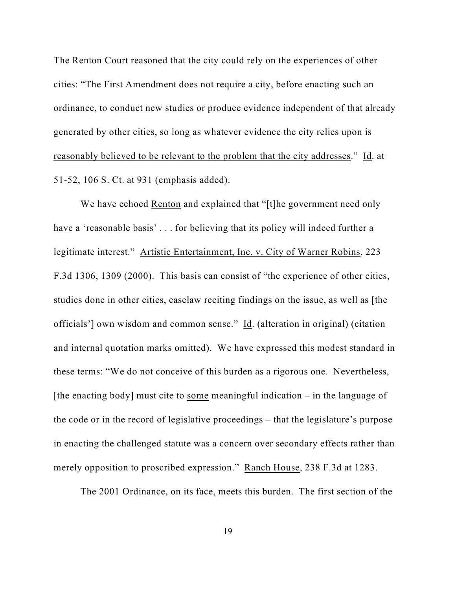The Renton Court reasoned that the city could rely on the experiences of other cities: "The First Amendment does not require a city, before enacting such an ordinance, to conduct new studies or produce evidence independent of that already generated by other cities, so long as whatever evidence the city relies upon is reasonably believed to be relevant to the problem that the city addresses." Id. at 51-52, 106 S. Ct. at 931 (emphasis added).

We have echoed Renton and explained that "[t]he government need only have a 'reasonable basis' . . . for believing that its policy will indeed further a legitimate interest." Artistic Entertainment, Inc. v. City of Warner Robins, 223 F.3d 1306, 1309 (2000). This basis can consist of "the experience of other cities, studies done in other cities, caselaw reciting findings on the issue, as well as [the officials'] own wisdom and common sense." Id. (alteration in original) (citation and internal quotation marks omitted). We have expressed this modest standard in these terms: "We do not conceive of this burden as a rigorous one. Nevertheless, [the enacting body] must cite to some meaningful indication  $-$  in the language of the code or in the record of legislative proceedings – that the legislature's purpose in enacting the challenged statute was a concern over secondary effects rather than merely opposition to proscribed expression." Ranch House, 238 F.3d at 1283.

The 2001 Ordinance, on its face, meets this burden. The first section of the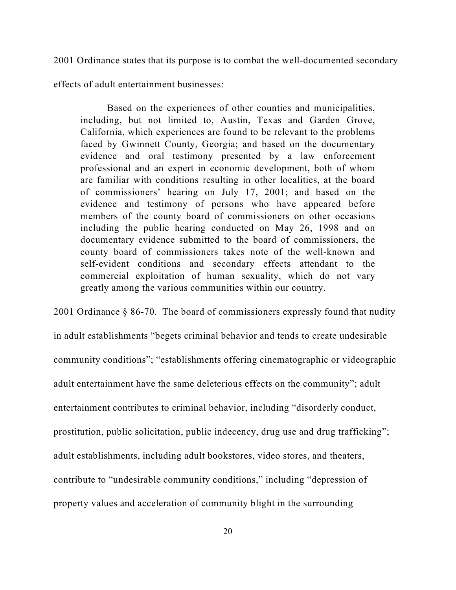2001 Ordinance states that its purpose is to combat the well-documented secondary

effects of adult entertainment businesses:

Based on the experiences of other counties and municipalities, including, but not limited to, Austin, Texas and Garden Grove, California, which experiences are found to be relevant to the problems faced by Gwinnett County, Georgia; and based on the documentary evidence and oral testimony presented by a law enforcement professional and an expert in economic development, both of whom are familiar with conditions resulting in other localities, at the board of commissioners' hearing on July 17, 2001; and based on the evidence and testimony of persons who have appeared before members of the county board of commissioners on other occasions including the public hearing conducted on May 26, 1998 and on documentary evidence submitted to the board of commissioners, the county board of commissioners takes note of the well-known and self-evident conditions and secondary effects attendant to the commercial exploitation of human sexuality, which do not vary greatly among the various communities within our country.

2001 Ordinance § 86-70. The board of commissioners expressly found that nudity in adult establishments "begets criminal behavior and tends to create undesirable community conditions"; "establishments offering cinematographic or videographic adult entertainment have the same deleterious effects on the community"; adult entertainment contributes to criminal behavior, including "disorderly conduct, prostitution, public solicitation, public indecency, drug use and drug trafficking"; adult establishments, including adult bookstores, video stores, and theaters, contribute to "undesirable community conditions," including "depression of property values and acceleration of community blight in the surrounding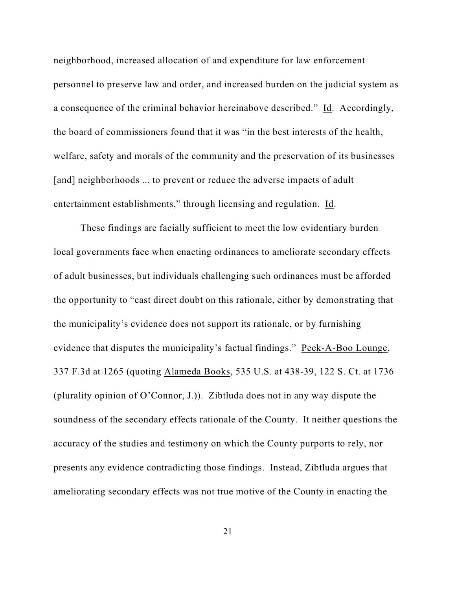neighborhood, increased allocation of and expenditure for law enforcement personnel to preserve law and order, and increased burden on the judicial system as a consequence of the criminal behavior hereinabove described." Id. Accordingly, the board of commissioners found that it was "in the best interests of the health, welfare, safety and morals of the community and the preservation of its businesses [and] neighborhoods ... to prevent or reduce the adverse impacts of adult entertainment establishments," through licensing and regulation. Id.

These findings are facially sufficient to meet the low evidentiary burden local governments face when enacting ordinances to ameliorate secondary effects of adult businesses, but individuals challenging such ordinances must be afforded the opportunity to "cast direct doubt on this rationale, either by demonstrating that the municipality's evidence does not support its rationale, or by furnishing evidence that disputes the municipality's factual findings." Peek-A-Boo Lounge, 337 F.3d at 1265 (quoting Alameda Books, 535 U.S. at 438-39, 122 S. Ct. at 1736 (plurality opinion of O'Connor, J.)). Zibtluda does not in any way dispute the soundness of the secondary effects rationale of the County. It neither questions the accuracy of the studies and testimony on which the County purports to rely, nor presents any evidence contradicting those findings. Instead, Zibtluda argues that ameliorating secondary effects was not true motive of the County in enacting the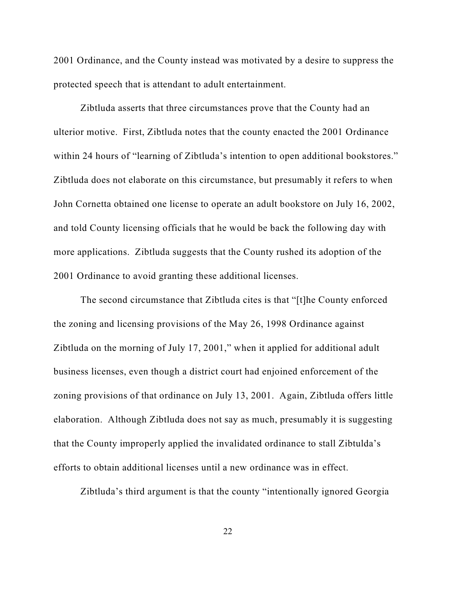2001 Ordinance, and the County instead was motivated by a desire to suppress the protected speech that is attendant to adult entertainment.

Zibtluda asserts that three circumstances prove that the County had an ulterior motive. First, Zibtluda notes that the county enacted the 2001 Ordinance within 24 hours of "learning of Zibtluda's intention to open additional bookstores." Zibtluda does not elaborate on this circumstance, but presumably it refers to when John Cornetta obtained one license to operate an adult bookstore on July 16, 2002, and told County licensing officials that he would be back the following day with more applications. Zibtluda suggests that the County rushed its adoption of the 2001 Ordinance to avoid granting these additional licenses.

The second circumstance that Zibtluda cites is that "[t]he County enforced the zoning and licensing provisions of the May 26, 1998 Ordinance against Zibtluda on the morning of July 17, 2001," when it applied for additional adult business licenses, even though a district court had enjoined enforcement of the zoning provisions of that ordinance on July 13, 2001. Again, Zibtluda offers little elaboration. Although Zibtluda does not say as much, presumably it is suggesting that the County improperly applied the invalidated ordinance to stall Zibtulda's efforts to obtain additional licenses until a new ordinance was in effect.

Zibtluda's third argument is that the county "intentionally ignored Georgia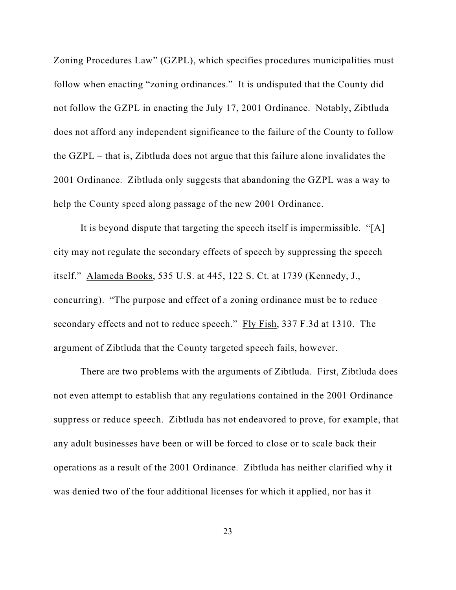Zoning Procedures Law" (GZPL), which specifies procedures municipalities must follow when enacting "zoning ordinances." It is undisputed that the County did not follow the GZPL in enacting the July 17, 2001 Ordinance. Notably, Zibtluda does not afford any independent significance to the failure of the County to follow the GZPL – that is, Zibtluda does not argue that this failure alone invalidates the 2001 Ordinance. Zibtluda only suggests that abandoning the GZPL was a way to help the County speed along passage of the new 2001 Ordinance.

It is beyond dispute that targeting the speech itself is impermissible. "[A] city may not regulate the secondary effects of speech by suppressing the speech itself." Alameda Books, 535 U.S. at 445, 122 S. Ct. at 1739 (Kennedy, J., concurring). "The purpose and effect of a zoning ordinance must be to reduce secondary effects and not to reduce speech." Fly Fish, 337 F.3d at 1310. The argument of Zibtluda that the County targeted speech fails, however.

There are two problems with the arguments of Zibtluda. First, Zibtluda does not even attempt to establish that any regulations contained in the 2001 Ordinance suppress or reduce speech. Zibtluda has not endeavored to prove, for example, that any adult businesses have been or will be forced to close or to scale back their operations as a result of the 2001 Ordinance. Zibtluda has neither clarified why it was denied two of the four additional licenses for which it applied, nor has it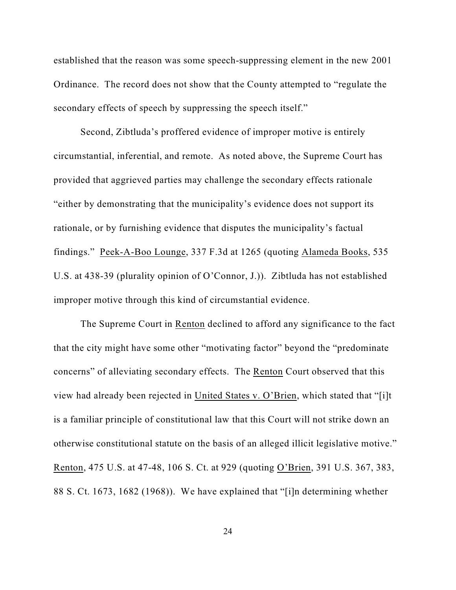established that the reason was some speech-suppressing element in the new 2001 Ordinance. The record does not show that the County attempted to "regulate the secondary effects of speech by suppressing the speech itself."

Second, Zibtluda's proffered evidence of improper motive is entirely circumstantial, inferential, and remote. As noted above, the Supreme Court has provided that aggrieved parties may challenge the secondary effects rationale "either by demonstrating that the municipality's evidence does not support its rationale, or by furnishing evidence that disputes the municipality's factual findings." Peek-A-Boo Lounge, 337 F.3d at 1265 (quoting Alameda Books, 535 U.S. at 438-39 (plurality opinion of O'Connor, J.)). Zibtluda has not established improper motive through this kind of circumstantial evidence.

The Supreme Court in Renton declined to afford any significance to the fact that the city might have some other "motivating factor" beyond the "predominate concerns" of alleviating secondary effects. The Renton Court observed that this view had already been rejected in United States v. O'Brien, which stated that "[i]t is a familiar principle of constitutional law that this Court will not strike down an otherwise constitutional statute on the basis of an alleged illicit legislative motive." Renton, 475 U.S. at 47-48, 106 S. Ct. at 929 (quoting O'Brien, 391 U.S. 367, 383, 88 S. Ct. 1673, 1682 (1968)). We have explained that "[i]n determining whether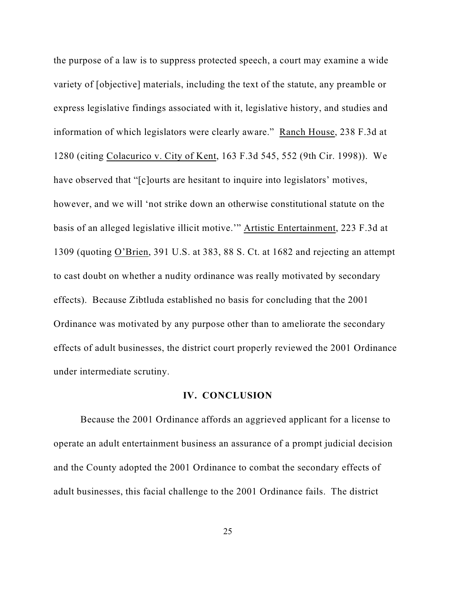the purpose of a law is to suppress protected speech, a court may examine a wide variety of [objective] materials, including the text of the statute, any preamble or express legislative findings associated with it, legislative history, and studies and information of which legislators were clearly aware." Ranch House, 238 F.3d at 1280 (citing Colacurico v. City of Kent, 163 F.3d 545, 552 (9th Cir. 1998)). We have observed that "[c]ourts are hesitant to inquire into legislators' motives, however, and we will 'not strike down an otherwise constitutional statute on the basis of an alleged legislative illicit motive.'" Artistic Entertainment, 223 F.3d at 1309 (quoting O'Brien, 391 U.S. at 383, 88 S. Ct. at 1682 and rejecting an attempt to cast doubt on whether a nudity ordinance was really motivated by secondary effects). Because Zibtluda established no basis for concluding that the 2001 Ordinance was motivated by any purpose other than to ameliorate the secondary effects of adult businesses, the district court properly reviewed the 2001 Ordinance under intermediate scrutiny.

#### **IV. CONCLUSION**

Because the 2001 Ordinance affords an aggrieved applicant for a license to operate an adult entertainment business an assurance of a prompt judicial decision and the County adopted the 2001 Ordinance to combat the secondary effects of adult businesses, this facial challenge to the 2001 Ordinance fails. The district